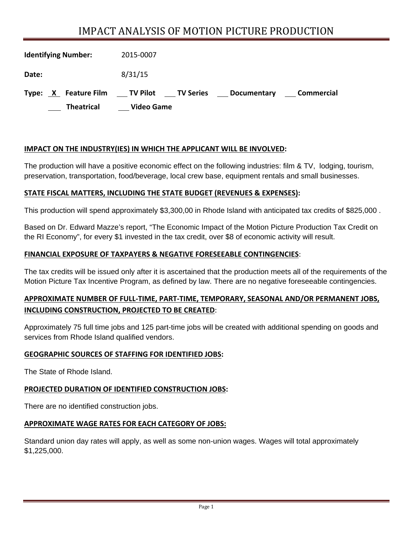# IMPACT ANALYSIS OF MOTION PICTURE PRODUCTION

| <b>Identifying Number:</b> | 2015-0007                                                                |
|----------------------------|--------------------------------------------------------------------------|
| Date:                      | 8/31/15                                                                  |
| Type: X Feature Film       | ____ TV Pilot _____ TV Series<br><b>Commercial</b><br><b>Documentary</b> |
| <b>Theatrical</b>          | <b>Video Game</b>                                                        |

## **IMPACT ON THE INDUSTRY(IES) IN WHICH THE APPLICANT WILL BE INVOLVED:**

The production will have a positive economic effect on the following industries: film & TV, lodging, tourism, preservation, transportation, food/beverage, local crew base, equipment rentals and small businesses.

### **STATE FISCAL MATTERS, INCLUDING THE STATE BUDGET (REVENUES & EXPENSES):**

This production will spend approximately \$3,300,00 in Rhode Island with anticipated tax credits of \$825,000 .

Based on Dr. Edward Mazze's report, "The Economic Impact of the Motion Picture Production Tax Credit on the RI Economy", for every \$1 invested in the tax credit, over \$8 of economic activity will result.

#### **FINANCIAL EXPOSURE OF TAXPAYERS & NEGATIVE FORESEEABLE CONTINGENCIES**:

The tax credits will be issued only after it is ascertained that the production meets all of the requirements of the Motion Picture Tax Incentive Program, as defined by law. There are no negative foreseeable contingencies.

# **APPROXIMATE NUMBER OF FULL‐TIME, PART‐TIME, TEMPORARY, SEASONAL AND/OR PERMANENT JOBS, INCLUDING CONSTRUCTION, PROJECTED TO BE CREATED**:

Approximately 75 full time jobs and 125 part-time jobs will be created with additional spending on goods and services from Rhode Island qualified vendors.

#### **GEOGRAPHIC SOURCES OF STAFFING FOR IDENTIFIED JOBS:**

The State of Rhode Island.

#### **PROJECTED DURATION OF IDENTIFIED CONSTRUCTION JOBS:**

There are no identified construction jobs.

#### **APPROXIMATE WAGE RATES FOR EACH CATEGORY OF JOBS:**

Standard union day rates will apply, as well as some non-union wages. Wages will total approximately \$1,225,000.